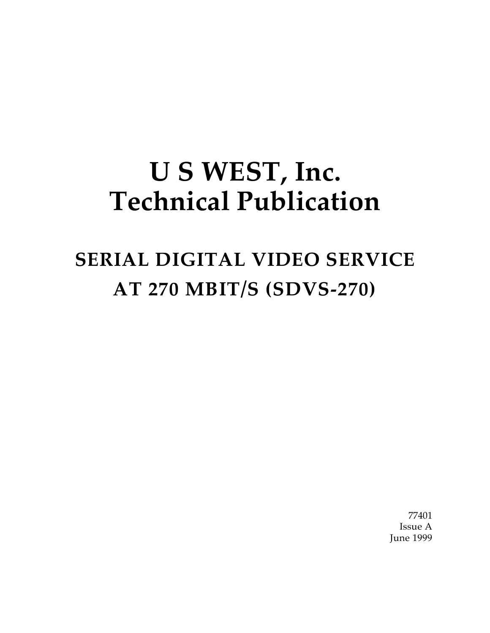# **U S WEST, Inc. Technical Publication**

# **SERIAL DIGITAL VIDEO SERVICE AT 270 MBIT/S (SDVS-270)**

77401 Issue A June 1999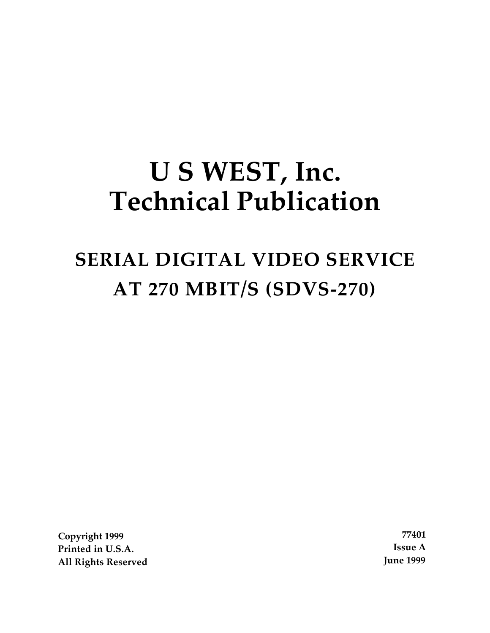# **U S WEST, Inc. Technical Publication**

# **SERIAL DIGITAL VIDEO SERVICE AT 270 MBIT/S (SDVS-270)**

**Copyright 1999 77401 Printed in U.S.A. Issue A All Rights Reserved June 1999**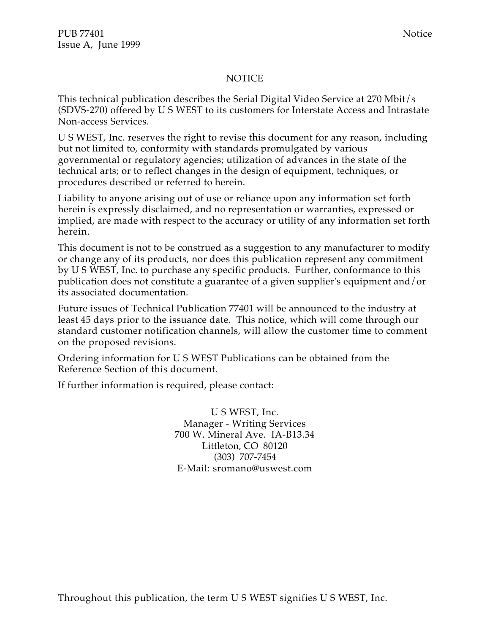#### NOTICE

This technical publication describes the Serial Digital Video Service at 270 Mbit/s (SDVS-270) offered by U S WEST to its customers for Interstate Access and Intrastate Non-access Services.

U S WEST, Inc. reserves the right to revise this document for any reason, including but not limited to, conformity with standards promulgated by various governmental or regulatory agencies; utilization of advances in the state of the technical arts; or to reflect changes in the design of equipment, techniques, or procedures described or referred to herein.

Liability to anyone arising out of use or reliance upon any information set forth herein is expressly disclaimed, and no representation or warranties, expressed or implied, are made with respect to the accuracy or utility of any information set forth herein.

This document is not to be construed as a suggestion to any manufacturer to modify or change any of its products, nor does this publication represent any commitment by U S WEST, Inc. to purchase any specific products. Further, conformance to this publication does not constitute a guarantee of a given supplier's equipment and/or its associated documentation.

Future issues of Technical Publication 77401 will be announced to the industry at least 45 days prior to the issuance date. This notice, which will come through our standard customer notification channels, will allow the customer time to comment on the proposed revisions.

Ordering information for U S WEST Publications can be obtained from the Reference Section of this document.

If further information is required, please contact:

U S WEST, Inc. Manager - Writing Services 700 W. Mineral Ave. IA-B13.34 Littleton, CO 80120 (303) 707-7454 E-Mail: sromano@uswest.com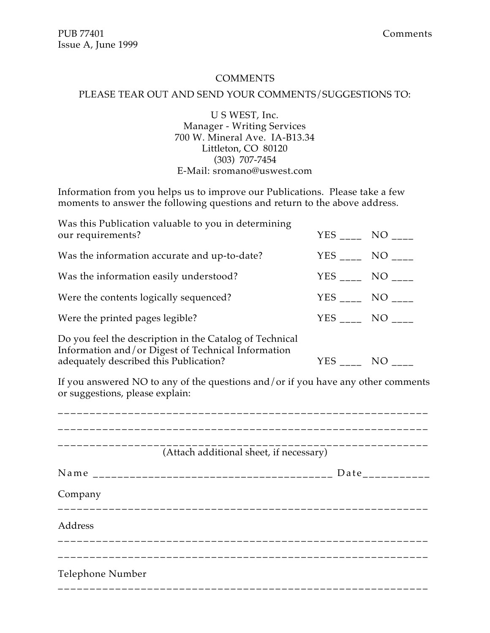#### COMMENTS

#### PLEASE TEAR OUT AND SEND YOUR COMMENTS/SUGGESTIONS TO:

U S WEST, Inc. Manager - Writing Services 700 W. Mineral Ave. IA-B13.34 Littleton, CO 80120 (303) 707-7454 E-Mail: sromano@uswest.com

Information from you helps us to improve our Publications. Please take a few moments to answer the following questions and return to the above address.

| Was this Publication valuable to you in determining<br>our requirements?                                                                                |               | $YES$ ____ NO ___ |
|---------------------------------------------------------------------------------------------------------------------------------------------------------|---------------|-------------------|
| Was the information accurate and up-to-date?                                                                                                            |               | YES NO            |
| Was the information easily understood?                                                                                                                  |               | $YES$ ____ NO ___ |
| Were the contents logically sequenced?                                                                                                                  |               | YES ____ NO ____  |
| Were the printed pages legible?                                                                                                                         |               | YES NO            |
| Do you feel the description in the Catalog of Technical<br>Information and/or Digest of Technical Information<br>adequately described this Publication? | $YES$ ____ NO |                   |

If you answered NO to any of the questions and/or if you have any other comments or suggestions, please explain:

|                  | (Attach additional sheet, if necessary) |                                 |
|------------------|-----------------------------------------|---------------------------------|
|                  |                                         | $Date$ <sub>_____________</sub> |
| Company          |                                         |                                 |
| Address          |                                         |                                 |
|                  |                                         |                                 |
| Telephone Number |                                         |                                 |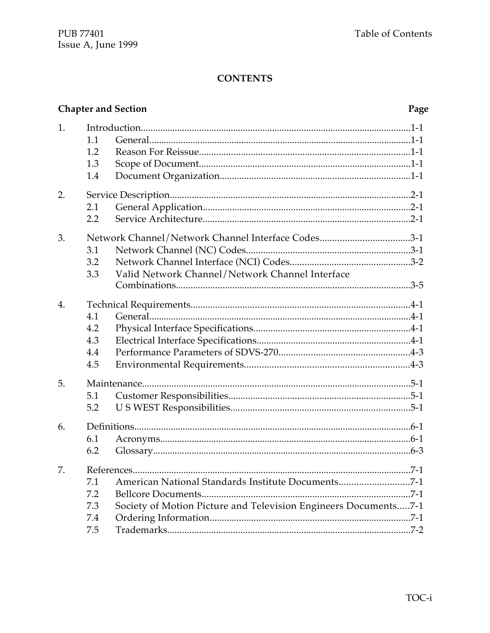#### **Chapter and Section** Page 1.  $1.1$  $1.2$  $1.3$ 1.4 2. 2.1  $2.2$ Network Channel/Network Channel Interface Codes..................................3-1 3. 3.1  $3.2$ Valid Network Channel/Network Channel Interface 3.3  $\overline{4}$ . 4.1 4.2 4.3  $4.4$ 4.5 5.  $5.1$ 5.2  $6<sub>1</sub>$  $6.1$ 6.2 7.  $71$ 7.2 7.3 Society of Motion Picture and Television Engineers Documents.....7-1  $7.4$  $7.5$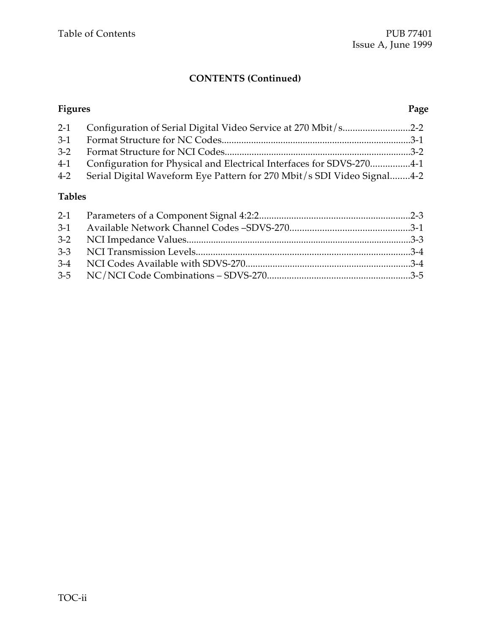## **CONTENTS (Continued)**

| <b>Figures</b> |                                                                            | Page |
|----------------|----------------------------------------------------------------------------|------|
|                | 2-1 Configuration of Serial Digital Video Service at 270 Mbit/s2-2         |      |
|                |                                                                            |      |
|                |                                                                            |      |
|                | 4-1 Configuration for Physical and Electrical Interfaces for SDVS-2704-1   |      |
|                | 4-2 Serial Digital Waveform Eye Pattern for 270 Mbit/s SDI Video Signal4-2 |      |

### **Tables**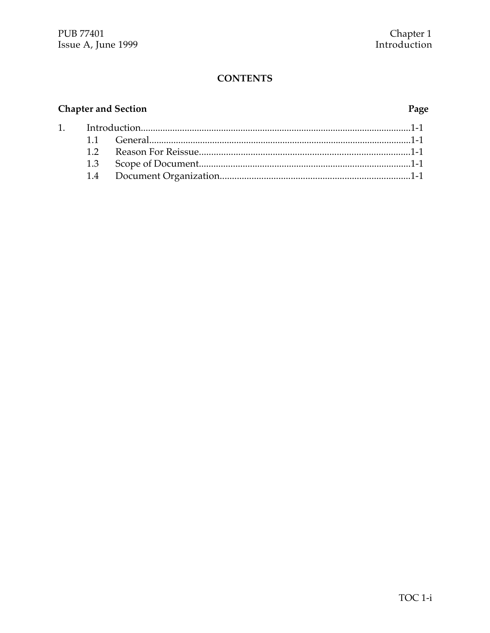# **Chapter and Section**

 $1.$ 

#### Page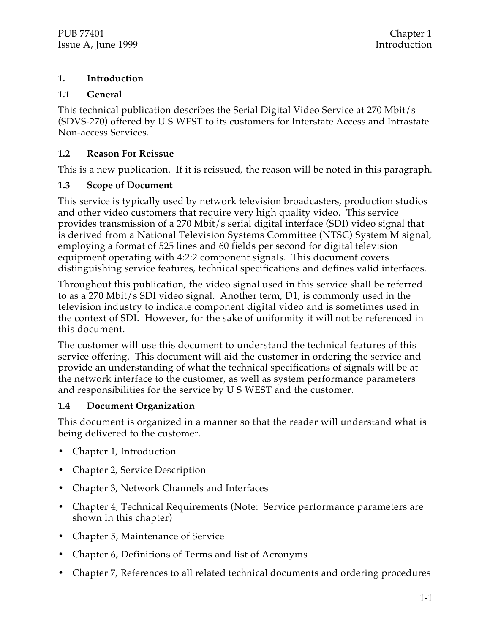#### **1. Introduction**

#### **1.1 General**

This technical publication describes the Serial Digital Video Service at 270 Mbit/s (SDVS-270) offered by U S WEST to its customers for Interstate Access and Intrastate Non-access Services.

#### **1.2 Reason For Reissue**

This is a new publication. If it is reissued, the reason will be noted in this paragraph.

#### **1.3 Scope of Document**

This service is typically used by network television broadcasters, production studios and other video customers that require very high quality video. This service provides transmission of a 270 Mbit/s serial digital interface (SDI) video signal that is derived from a National Television Systems Committee (NTSC) System M signal, employing a format of 525 lines and 60 fields per second for digital television equipment operating with 4:2:2 component signals. This document covers distinguishing service features, technical specifications and defines valid interfaces.

Throughout this publication, the video signal used in this service shall be referred to as a 270 Mbit/s SDI video signal. Another term, D1, is commonly used in the television industry to indicate component digital video and is sometimes used in the context of SDI. However, for the sake of uniformity it will not be referenced in this document.

The customer will use this document to understand the technical features of this service offering. This document will aid the customer in ordering the service and provide an understanding of what the technical specifications of signals will be at the network interface to the customer, as well as system performance parameters and responsibilities for the service by U S WEST and the customer.

#### **1.4 Document Organization**

This document is organized in a manner so that the reader will understand what is being delivered to the customer.

- Chapter 1, Introduction
- Chapter 2, Service Description
- Chapter 3, Network Channels and Interfaces
- Chapter 4, Technical Requirements (Note: Service performance parameters are shown in this chapter)
- Chapter 5, Maintenance of Service
- Chapter 6, Definitions of Terms and list of Acronyms
- Chapter 7, References to all related technical documents and ordering procedures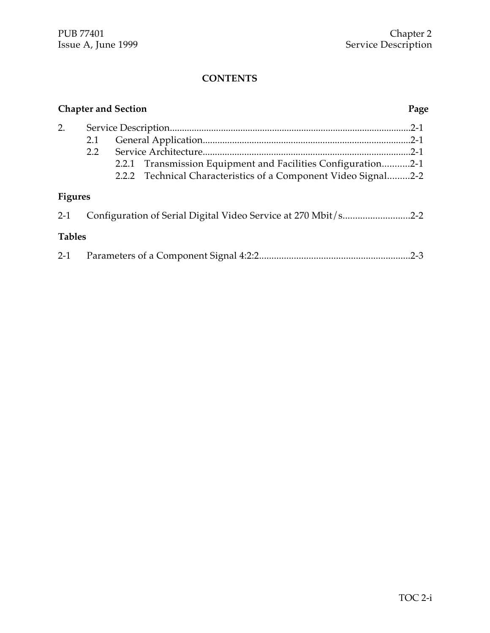|                |               | <b>Chapter and Section</b>                                     | Page     |
|----------------|---------------|----------------------------------------------------------------|----------|
| 2.             |               |                                                                | $.2 - 1$ |
|                | 2.1           |                                                                | $.2 - 1$ |
|                | $2.2^{\circ}$ |                                                                |          |
|                |               | 2.2.1 Transmission Equipment and Facilities Configuration2-1   |          |
|                |               | 2.2.2 Technical Characteristics of a Component Video Signal2-2 |          |
| <b>Figures</b> |               |                                                                |          |
| $2 - 1$        |               | Configuration of Serial Digital Video Service at 270 Mbit/s2-2 |          |
| <b>Tables</b>  |               |                                                                |          |
|                |               |                                                                |          |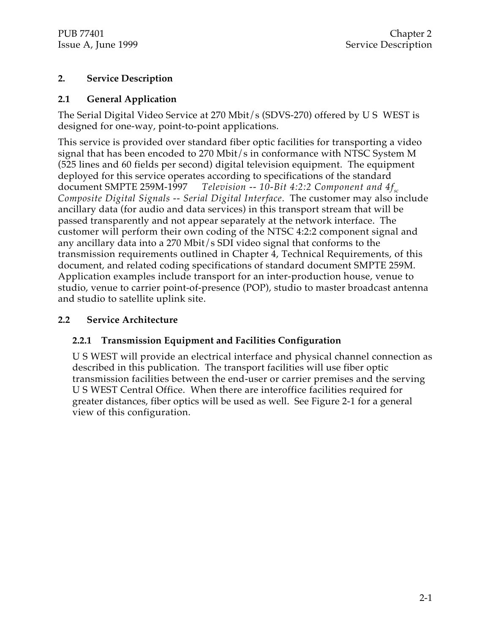#### **2. Service Description**

#### **2.1 General Application**

The Serial Digital Video Service at 270 Mbit/s (SDVS-270) offered by U S WEST is designed for one-way, point-to-point applications.

This service is provided over standard fiber optic facilities for transporting a video signal that has been encoded to 270 Mbit/s in conformance with NTSC System M (525 lines and 60 fields per second) digital television equipment. The equipment deployed for this service operates according to specifications of the standard document SMPTE 259M-1997 *Television -- 10-Bit 4:2:2 Component and 4fsc Composite Digital Signals -- Serial Digital Interface*. The customer may also include ancillary data (for audio and data services) in this transport stream that will be passed transparently and not appear separately at the network interface. The customer will perform their own coding of the NTSC 4:2:2 component signal and any ancillary data into a 270 Mbit/s SDI video signal that conforms to the transmission requirements outlined in Chapter 4, Technical Requirements, of this document, and related coding specifications of standard document SMPTE 259M. Application examples include transport for an inter-production house, venue to studio, venue to carrier point-of-presence (POP), studio to master broadcast antenna and studio to satellite uplink site.

#### **2.2 Service Architecture**

#### **2.2.1 Transmission Equipment and Facilities Configuration**

U S WEST will provide an electrical interface and physical channel connection as described in this publication. The transport facilities will use fiber optic transmission facilities between the end-user or carrier premises and the serving U S WEST Central Office. When there are interoffice facilities required for greater distances, fiber optics will be used as well. See Figure 2-1 for a general view of this configuration.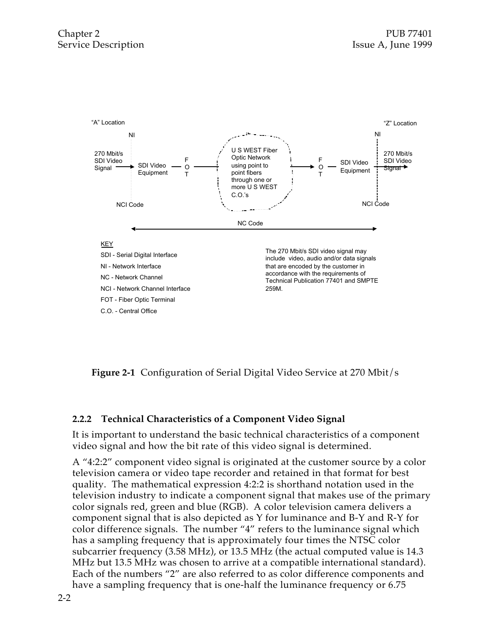

**Figure 2-1** Configuration of Serial Digital Video Service at 270 Mbit/s

#### **2.2.2 Technical Characteristics of a Component Video Signal**

It is important to understand the basic technical characteristics of a component video signal and how the bit rate of this video signal is determined.

A "4:2:2" component video signal is originated at the customer source by a color television camera or video tape recorder and retained in that format for best quality. The mathematical expression 4:2:2 is shorthand notation used in the television industry to indicate a component signal that makes use of the primary color signals red, green and blue (RGB). A color television camera delivers a component signal that is also depicted as Y for luminance and B-Y and R-Y for color difference signals. The number "4" refers to the luminance signal which has a sampling frequency that is approximately four times the NTSC color subcarrier frequency (3.58 MHz), or 13.5 MHz (the actual computed value is 14.3 MHz but 13.5 MHz was chosen to arrive at a compatible international standard). Each of the numbers "2" are also referred to as color difference components and have a sampling frequency that is one-half the luminance frequency or 6.75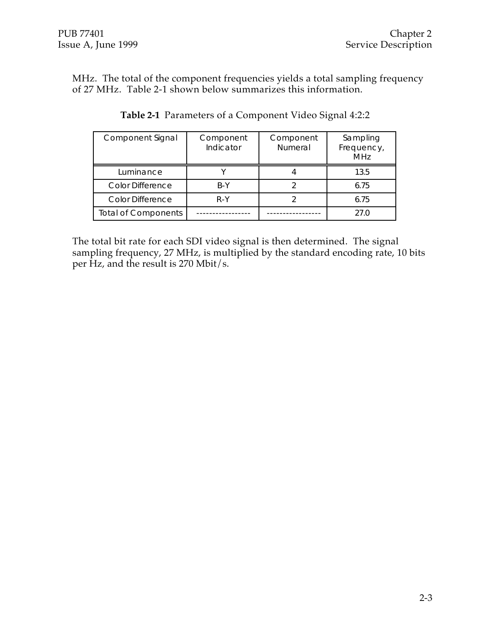MHz. The total of the component frequencies yields a total sampling frequency of 27 MHz. Table 2-1 shown below summarizes this information.

| <b>Component Signal</b>    | Component<br>Indicator | Component<br><b>Numeral</b> | Sampling<br>Frequency,<br>MHz |
|----------------------------|------------------------|-----------------------------|-------------------------------|
| Luminance                  |                        |                             | 13.5                          |
| <b>Color Difference</b>    | B-Y                    |                             | 6.75                          |
| Color Difference           | R-Y                    |                             | 6.75                          |
| <b>Total of Components</b> |                        |                             | 27.O                          |

**Table 2-1** Parameters of a Component Video Signal 4:2:2

The total bit rate for each SDI video signal is then determined. The signal sampling frequency, 27 MHz, is multiplied by the standard encoding rate, 10 bits per Hz, and the result is 270 Mbit/s.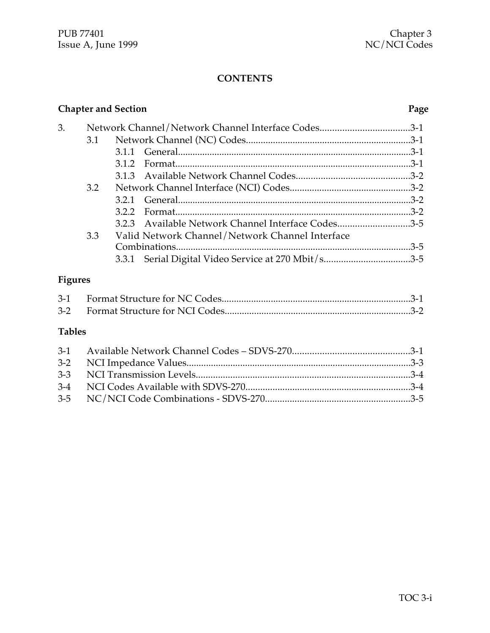|    | <b>Chapter and Section</b> |     |                                                    | Page |
|----|----------------------------|-----|----------------------------------------------------|------|
| 3. |                            |     | Network Channel/Network Channel Interface Codes3-1 |      |
|    | 3.1                        |     |                                                    |      |
|    |                            |     |                                                    |      |
|    |                            |     |                                                    |      |
|    |                            |     |                                                    |      |
|    | 3.2                        |     |                                                    |      |
|    |                            |     |                                                    |      |
|    |                            | 322 |                                                    |      |
|    |                            |     | 3.2.3 Available Network Channel Interface Codes3-5 |      |
|    | 3.3                        |     | Valid Network Channel/Network Channel Interface    |      |
|    |                            |     |                                                    |      |
|    |                            |     |                                                    |      |
|    |                            |     |                                                    |      |

# **Figures**

# **Tables**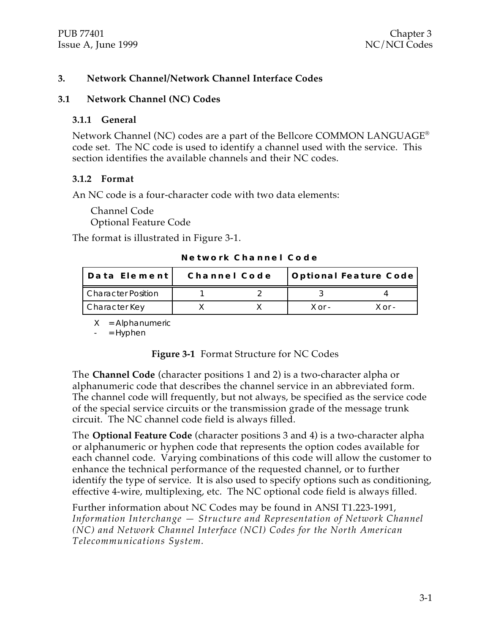#### **3. Network Channel/Network Channel Interface Codes**

#### **3.1 Network Channel (NC) Codes**

#### **3.1.1 General**

Network Channel (NC) codes are a part of the Bellcore COMMON LANGUAGE® code set. The NC code is used to identify a channel used with the service. This section identifies the available channels and their NC codes.

#### **3.1.2 Format**

An NC code is a four-character code with two data elements:

Channel Code Optional Feature Code

The format is illustrated in Figure 3-1.

| Data Element              | Channel Code |          | Optional Feature Code |
|---------------------------|--------------|----------|-----------------------|
| <b>Character Position</b> |              |          |                       |
| Character Key             |              | $X$ or - | $X$ or -              |

**N e t w o r k C h a n n e l C o d e**

X = Alphanumeric

 $=$  Hyphen

#### **Figure 3-1** Format Structure for NC Codes

The **Channel Code** (character positions 1 and 2) is a two-character alpha or alphanumeric code that describes the channel service in an abbreviated form. The channel code will frequently, but not always, be specified as the service code of the special service circuits or the transmission grade of the message trunk circuit. The NC channel code field is always filled.

The **Optional Feature Code** (character positions 3 and 4) is a two-character alpha or alphanumeric or hyphen code that represents the option codes available for each channel code. Varying combinations of this code will allow the customer to enhance the technical performance of the requested channel, or to further identify the type of service. It is also used to specify options such as conditioning, effective 4-wire, multiplexing, etc. The NC optional code field is always filled.

Further information about NC Codes may be found in ANSI T1.223-1991, *Information Interchange — Structure and Representation of Network Channel (NC) and Network Channel Interface (NCI) Codes for the North American Telecommunications System.*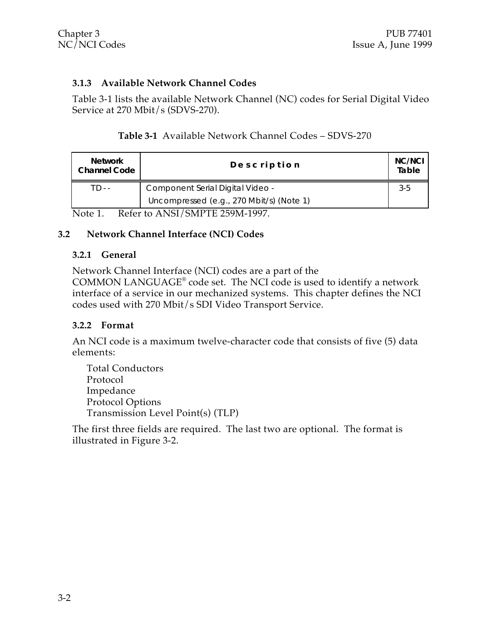#### **3.1.3 Available Network Channel Codes**

Table 3-1 lists the available Network Channel (NC) codes for Serial Digital Video Service at 270 Mbit/s (SDVS-270).

|  | Table 3-1 Available Network Channel Codes - SDVS-270 |  |  |  |  |
|--|------------------------------------------------------|--|--|--|--|
|--|------------------------------------------------------|--|--|--|--|

| <b>Network</b><br><b>Channel Code</b>                                  | Description                              | NC/NCI<br>Table |
|------------------------------------------------------------------------|------------------------------------------|-----------------|
| TD--                                                                   | Component Serial Digital Video -         | 3-5             |
|                                                                        | Uncompressed (e.g., 270 Mbit/s) (Note 1) |                 |
| $D_{\alpha}f_{\alpha}$ to ANICI (CMDTE 250M 1007)<br>$N_{\alpha}$ ta 1 |                                          |                 |

Note 1. Refer to ANSI/SMPTE 259M-1997.

#### **3.2 Network Channel Interface (NCI) Codes**

#### **3.2.1 General**

Network Channel Interface (NCI) codes are a part of the

COMMON LANGUAGE® code set. The NCI code is used to identify a network interface of a service in our mechanized systems. This chapter defines the NCI codes used with 270 Mbit/s SDI Video Transport Service.

#### **3.2.2 Format**

An NCI code is a maximum twelve-character code that consists of five (5) data elements:

Total Conductors Protocol Impedance Protocol Options Transmission Level Point(s) (TLP)

The first three fields are required. The last two are optional. The format is illustrated in Figure 3-2.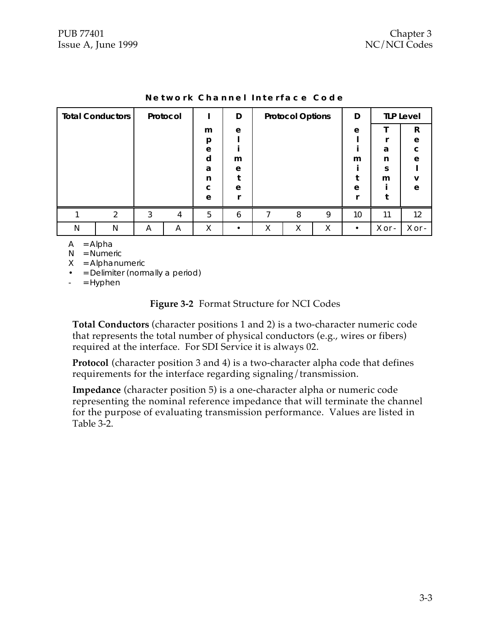|   | <b>Total Conductors</b> |   | Protocol                |   | D |   | <b>Protocol Options</b> |   | D         |        | <b>TLP Level</b> |
|---|-------------------------|---|-------------------------|---|---|---|-------------------------|---|-----------|--------|------------------|
|   |                         |   |                         | m | e |   |                         |   | e         |        | R                |
|   |                         |   |                         | p |   |   |                         |   |           |        | e                |
|   |                         |   |                         | e |   |   |                         |   |           | a      | C                |
|   |                         |   |                         | d | m |   |                         |   | m         | n      | e                |
|   |                         |   |                         | a | e |   |                         |   |           | S      |                  |
|   |                         |   |                         | n |   |   |                         |   |           | m      | v                |
|   |                         |   |                         | C | e |   |                         |   | e         |        | e                |
|   |                         |   |                         | e |   |   |                         |   |           |        |                  |
|   | $\mathcal{P}$           | 3 | $\overline{\mathbf{4}}$ | 5 | 6 | 7 | 8                       | 9 | 10        | 11     | 12               |
| N | N                       | A | A                       | Χ |   | Χ | Χ                       | X | $\bullet$ | X or - | X or -           |

|  |  | Network Channel Interface Code |  |
|--|--|--------------------------------|--|
|--|--|--------------------------------|--|

- $A = Alpha$
- N = Numeric
- $X =$  Alphanumeric
- = Delimiter (normally a period)
- $=$  Hyphen

#### **Figure 3-2** Format Structure for NCI Codes

**Total Conductors** (character positions 1 and 2) is a two-character numeric code that represents the total number of physical conductors (e.g., wires or fibers) required at the interface. For SDI Service it is always 02.

**Protocol** (character position 3 and 4) is a two-character alpha code that defines requirements for the interface regarding signaling/transmission.

**Impedance** (character position 5) is a one-character alpha or numeric code representing the nominal reference impedance that will terminate the channel for the purpose of evaluating transmission performance. Values are listed in Table 3-2.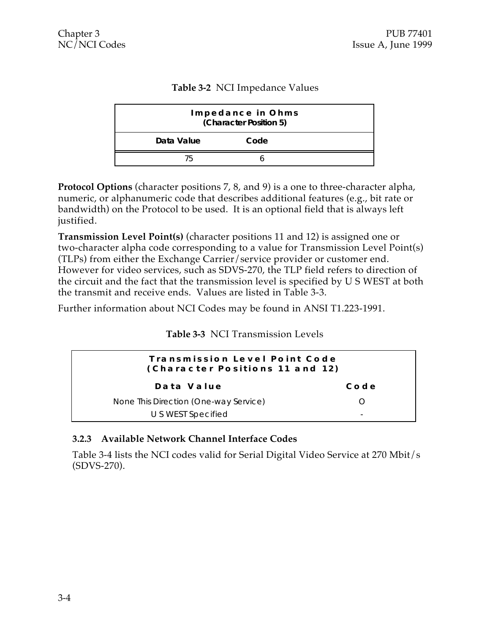#### **Table 3-2** NCI Impedance Values

|            | Impedance in Ohms<br>(Character Position 5) |
|------------|---------------------------------------------|
| Data Value | Code                                        |
|            |                                             |

**Protocol Options** (character positions 7, 8, and 9) is a one to three-character alpha, numeric, or alphanumeric code that describes additional features (e.g., bit rate or bandwidth) on the Protocol to be used. It is an optional field that is always left justified.

**Transmission Level Point(s)** (character positions 11 and 12) is assigned one or two-character alpha code corresponding to a value for Transmission Level Point(s) (TLPs) from either the Exchange Carrier/service provider or customer end. However for video services, such as SDVS-270, the TLP field refers to direction of the circuit and the fact that the transmission level is specified by U S WEST at both the transmit and receive ends. Values are listed in Table 3-3.

Further information about NCI Codes may be found in ANSI T1.223-1991.

**Table 3-3** NCI Transmission Levels

| Transmission Level Point Code<br>(Character Positions 11 and 12) |                          |
|------------------------------------------------------------------|--------------------------|
| Data Value                                                       | Code                     |
| None This Direction (One-way Service)                            |                          |
| U S WEST Specified                                               | $\overline{\phantom{0}}$ |

#### **3.2.3 Available Network Channel Interface Codes**

Table 3-4 lists the NCI codes valid for Serial Digital Video Service at 270 Mbit/s (SDVS-270).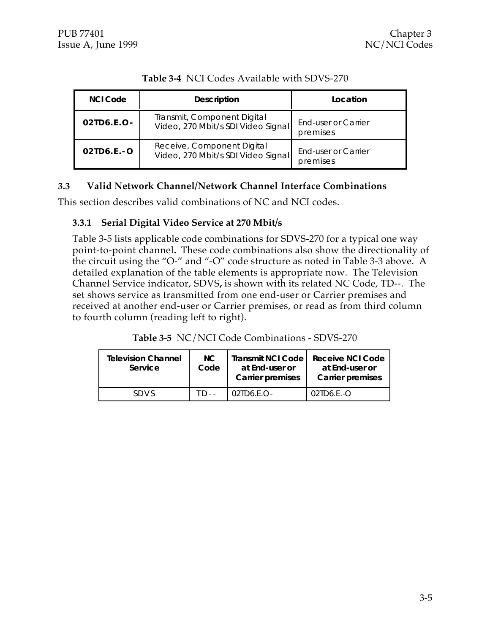| <b>NCI Code</b> | <b>Description</b>                                                | Location                        |
|-----------------|-------------------------------------------------------------------|---------------------------------|
| $02TD6.E.O-$    | Transmit, Component Digital<br>Video, 270 Mbit/s SDI Video Signal | End-user or Carrier<br>premises |
| $02TD6.E.-O$    | Receive, Component Digital<br>Video, 270 Mbit/s SDI Video Signal  | End-user or Carrier<br>premises |

#### **Table 3-4** NCI Codes Available with SDVS-270

#### **3.3 Valid Network Channel/Network Channel Interface Combinations**

This section describes valid combinations of NC and NCI codes.

#### **3.3.1 Serial Digital Video Service at 270 Mbit/s**

Table 3-5 lists applicable code combinations for SDVS-270 for a typical one way point-to-point channel**.** These code combinations also show the directionality of the circuit using the "O-" and "-O" code structure as noted in Table 3-3 above. A detailed explanation of the table elements is appropriate now. The Television Channel Service indicator, SDVS**,** is shown with its related NC Code, TD--. The set shows service as transmitted from one end-user or Carrier premises and received at another end-user or Carrier premises, or read as from third column to fourth column (reading left to right).

|  |  | Table 3-5 NC/NCI Code Combinations - SDVS-270 |  |
|--|--|-----------------------------------------------|--|
|--|--|-----------------------------------------------|--|

| <b>Television Channel</b><br>Service | NC.<br>Code | <b>Transmit NCI Code</b><br>at End-user or<br><b>Carrier premises</b> | Receive NCI Code<br>at End-user or<br><b>Carrier premises</b> |
|--------------------------------------|-------------|-----------------------------------------------------------------------|---------------------------------------------------------------|
| <b>SDVS</b>                          |             | $02$ ID6.F.O-                                                         | $02$ ID6 F.-O                                                 |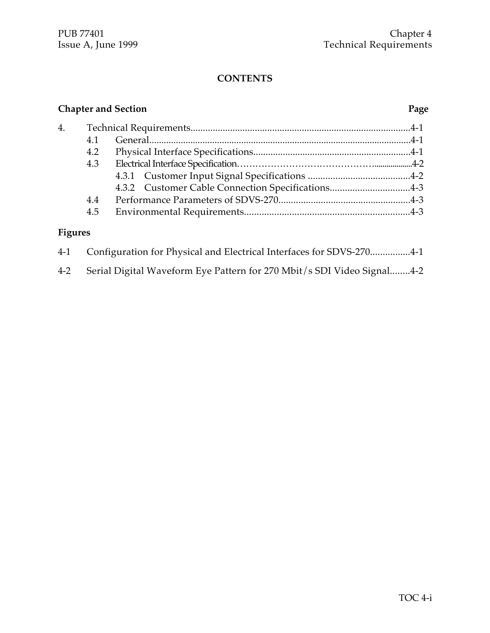## **Chapter and Section Page** 4. Technical Requirements.........................................................................................4-1 4.1 General............................................................................................................4-1 4.2 Physical Interface Specifications................................................................4-1 4.3 Electrical Interface Specification………………………………………...................4-2 4.3.1 Customer Input Signal Specifications .........................................4-2 4.3.2 Customer Cable Connection Specifications................................4-3 4.4 Performance Parameters of SDVS-270.....................................................4-3 4.5 Environmental Requirements..................................................................4-3 **Figures**

# 4-1 Configuration for Physical and Electrical Interfaces for SDVS-270................4-1 4-2 Serial Digital Waveform Eye Pattern for 270 Mbit/s SDI Video Signal........4-2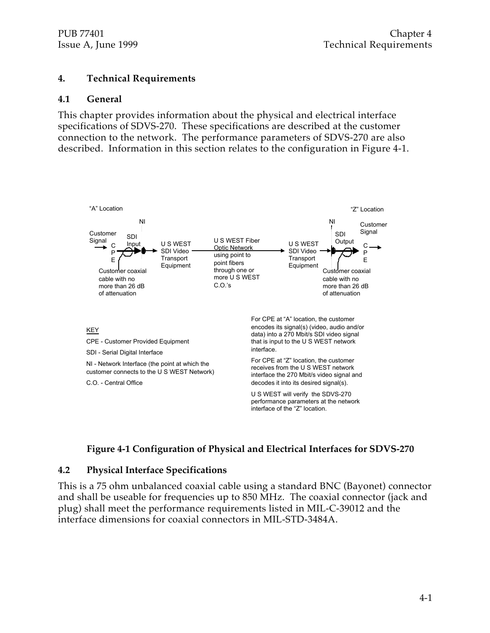#### **4. Technical Requirements**

#### **4.1 General**

This chapter provides information about the physical and electrical interface specifications of SDVS-270. These specifications are described at the customer connection to the network. The performance parameters of SDVS-270 are also described. Information in this section relates to the configuration in Figure 4-1.



#### **Figure 4-1 Configuration of Physical and Electrical Interfaces for SDVS-270**

#### **4.2 Physical Interface Specifications**

This is a 75 ohm unbalanced coaxial cable using a standard BNC (Bayonet) connector and shall be useable for frequencies up to 850 MHz. The coaxial connector (jack and plug) shall meet the performance requirements listed in MIL-C-39012 and the interface dimensions for coaxial connectors in MIL-STD-3484A.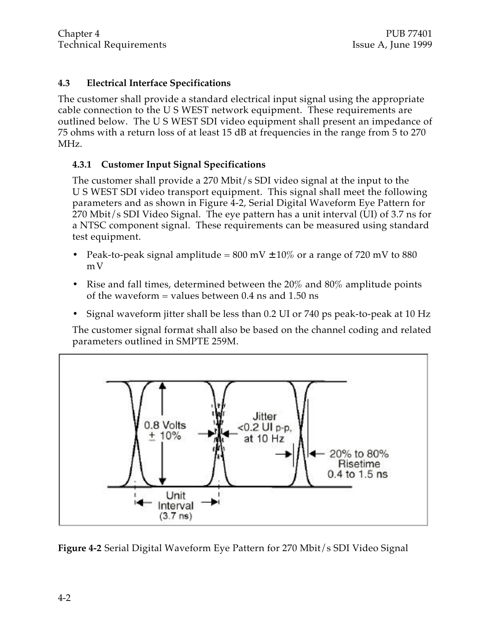#### **4.3 Electrical Interface Specifications**

The customer shall provide a standard electrical input signal using the appropriate cable connection to the U S WEST network equipment. These requirements are outlined below. The U S WEST SDI video equipment shall present an impedance of 75 ohms with a return loss of at least 15 dB at frequencies in the range from 5 to 270 MHz.

#### **4.3.1 Customer Input Signal Specifications**

The customer shall provide a 270 Mbit/s SDI video signal at the input to the U S WEST SDI video transport equipment. This signal shall meet the following parameters and as shown in Figure 4-2, Serial Digital Waveform Eye Pattern for 270 Mbit/s SDI Video Signal. The eye pattern has a unit interval (UI) of 3.7 ns for a NTSC component signal. These requirements can be measured using standard test equipment.

- Peak-to-peak signal amplitude =  $800 \text{ mV} \pm 10\%$  or a range of 720 mV to  $880$ mV
- Rise and fall times, determined between the  $20\%$  and  $80\%$  amplitude points of the waveform = values between  $0.4$  ns and  $1.50$  ns
- Signal waveform jitter shall be less than 0.2 UI or 740 ps peak-to-peak at 10 Hz

The customer signal format shall also be based on the channel coding and related parameters outlined in SMPTE 259M.



**Figure 4-2** Serial Digital Waveform Eye Pattern for 270 Mbit/s SDI Video Signal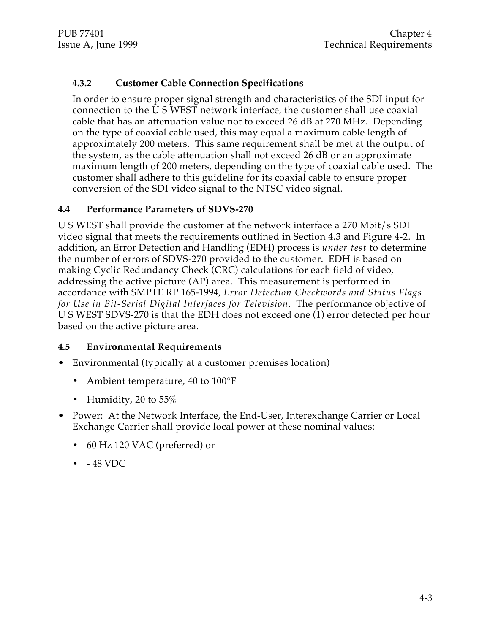#### **4.3.2 Customer Cable Connection Specifications**

In order to ensure proper signal strength and characteristics of the SDI input for connection to the U S WEST network interface, the customer shall use coaxial cable that has an attenuation value not to exceed 26 dB at 270 MHz. Depending on the type of coaxial cable used, this may equal a maximum cable length of approximately 200 meters. This same requirement shall be met at the output of the system, as the cable attenuation shall not exceed 26 dB or an approximate maximum length of 200 meters, depending on the type of coaxial cable used. The customer shall adhere to this guideline for its coaxial cable to ensure proper conversion of the SDI video signal to the NTSC video signal.

#### **4.4 Performance Parameters of SDVS-270**

U S WEST shall provide the customer at the network interface a 270 Mbit/s SDI video signal that meets the requirements outlined in Section 4.3 and Figure 4-2. In addition, an Error Detection and Handling (EDH) process is *under test* to determine the number of errors of SDVS-270 provided to the customer. EDH is based on making Cyclic Redundancy Check (CRC) calculations for each field of video, addressing the active picture (AP) area. This measurement is performed in accordance with SMPTE RP 165-1994, *Error Detection Checkwords and Status Flags for Use in Bit-Serial Digital Interfaces for Television*. The performance objective of U S WEST SDVS-270 is that the EDH does not exceed one (1) error detected per hour based on the active picture area.

#### **4.5 Environmental Requirements**

- Environmental (typically at a customer premises location)
	- Ambient temperature, 40 to 100°F
	- Humidity, 20 to 55%
- Power: At the Network Interface, the End-User, Interexchange Carrier or Local Exchange Carrier shall provide local power at these nominal values:
	- 60 Hz 120 VAC (preferred) or
	- - 48 VDC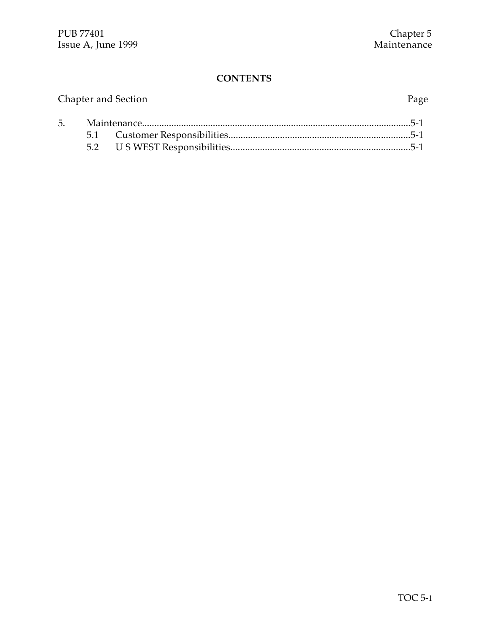|  | Chapter and Section | Page |
|--|---------------------|------|
|  |                     |      |
|  |                     |      |
|  |                     |      |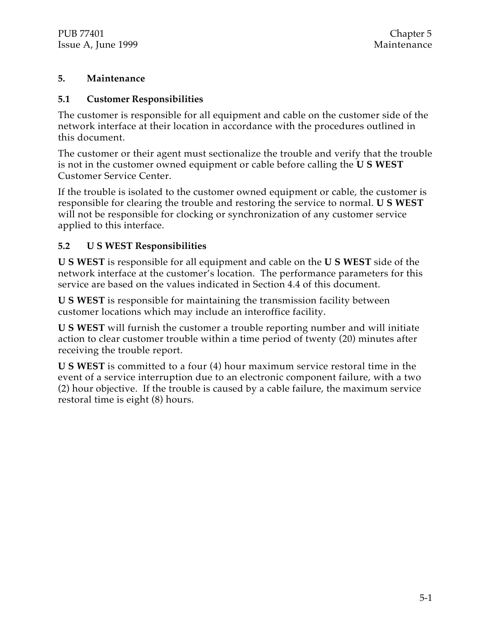#### **5. Maintenance**

#### **5.1 Customer Responsibilities**

The customer is responsible for all equipment and cable on the customer side of the network interface at their location in accordance with the procedures outlined in this document.

The customer or their agent must sectionalize the trouble and verify that the trouble is not in the customer owned equipment or cable before calling the **U S WEST** Customer Service Center.

If the trouble is isolated to the customer owned equipment or cable, the customer is responsible for clearing the trouble and restoring the service to normal. **U S WEST** will not be responsible for clocking or synchronization of any customer service applied to this interface.

#### **5.2 U S WEST Responsibilities**

**U S WEST** is responsible for all equipment and cable on the **U S WEST** side of the network interface at the customer's location. The performance parameters for this service are based on the values indicated in Section 4.4 of this document.

**U S WEST** is responsible for maintaining the transmission facility between customer locations which may include an interoffice facility.

**U S WEST** will furnish the customer a trouble reporting number and will initiate action to clear customer trouble within a time period of twenty (20) minutes after receiving the trouble report.

**U S WEST** is committed to a four (4) hour maximum service restoral time in the event of a service interruption due to an electronic component failure, with a two (2) hour objective. If the trouble is caused by a cable failure, the maximum service restoral time is eight (8) hours.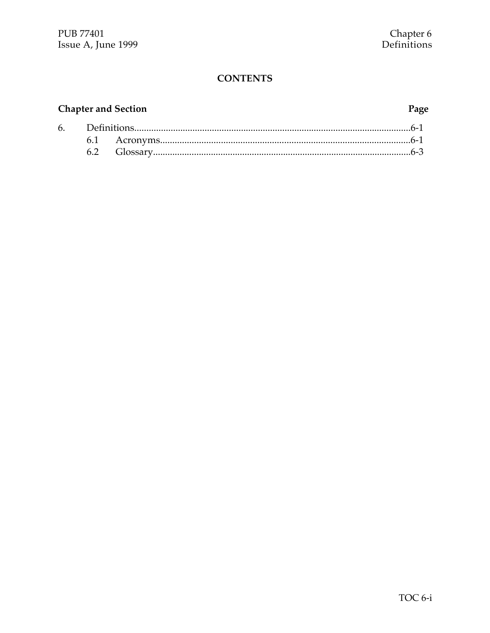# **Chapter and Section**

#### Page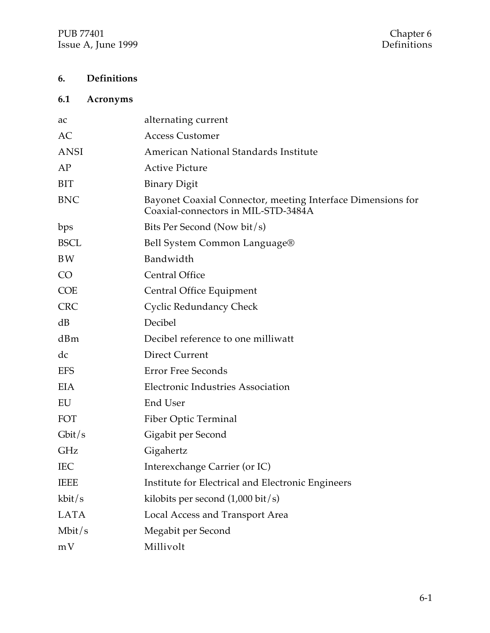## **6. Definitions**

# **6.1 Acronyms**

| ac          | alternating current                                                                                |
|-------------|----------------------------------------------------------------------------------------------------|
| AC          | <b>Access Customer</b>                                                                             |
| <b>ANSI</b> | American National Standards Institute                                                              |
| AP          | <b>Active Picture</b>                                                                              |
| <b>BIT</b>  | <b>Binary Digit</b>                                                                                |
| <b>BNC</b>  | Bayonet Coaxial Connector, meeting Interface Dimensions for<br>Coaxial-connectors in MIL-STD-3484A |
| bps         | Bits Per Second (Now bit/s)                                                                        |
| <b>BSCL</b> | Bell System Common Language®                                                                       |
| <b>BW</b>   | Bandwidth                                                                                          |
| CO          | <b>Central Office</b>                                                                              |
| <b>COE</b>  | Central Office Equipment                                                                           |
| <b>CRC</b>  | <b>Cyclic Redundancy Check</b>                                                                     |
| dB          | Decibel                                                                                            |
| dBm         | Decibel reference to one milliwatt                                                                 |
| dc          | <b>Direct Current</b>                                                                              |
| <b>EFS</b>  | <b>Error Free Seconds</b>                                                                          |
| <b>EIA</b>  | <b>Electronic Industries Association</b>                                                           |
| EU          | End User                                                                                           |
| FOT         | Fiber Optic Terminal                                                                               |
| Gbit/s      | Gigabit per Second                                                                                 |
| GHz         | Gigahertz                                                                                          |
| <b>IEC</b>  | Interexchange Carrier (or IC)                                                                      |
| <b>IEEE</b> | Institute for Electrical and Electronic Engineers                                                  |
| kbit/s      | kilobits per second $(1,000 \text{ bit/s})$                                                        |
| <b>LATA</b> | Local Access and Transport Area                                                                    |
| Mbit/s      | Megabit per Second                                                                                 |
| mV          | Millivolt                                                                                          |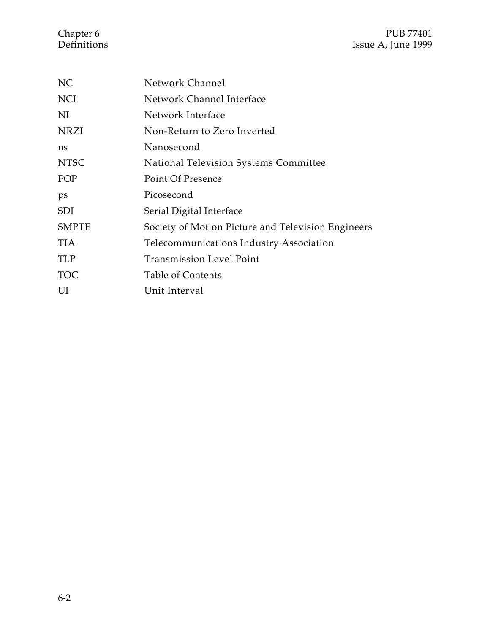## Chapter 6 PUB 77401<br>Definitions Issue A, June 1999 Issue A, June 1999

| NC           | Network Channel                                    |
|--------------|----------------------------------------------------|
| <b>NCI</b>   | Network Channel Interface                          |
| NI           | Network Interface                                  |
| <b>NRZI</b>  | Non-Return to Zero Inverted                        |
| ns           | Nanosecond                                         |
| <b>NTSC</b>  | National Television Systems Committee              |
| POP          | <b>Point Of Presence</b>                           |
| ps           | Picosecond                                         |
| <b>SDI</b>   | Serial Digital Interface                           |
| <b>SMPTE</b> | Society of Motion Picture and Television Engineers |
| TIA          | <b>Telecommunications Industry Association</b>     |
| <b>TLP</b>   | <b>Transmission Level Point</b>                    |
| <b>TOC</b>   | <b>Table of Contents</b>                           |
| UI           | Unit Interval                                      |
|              |                                                    |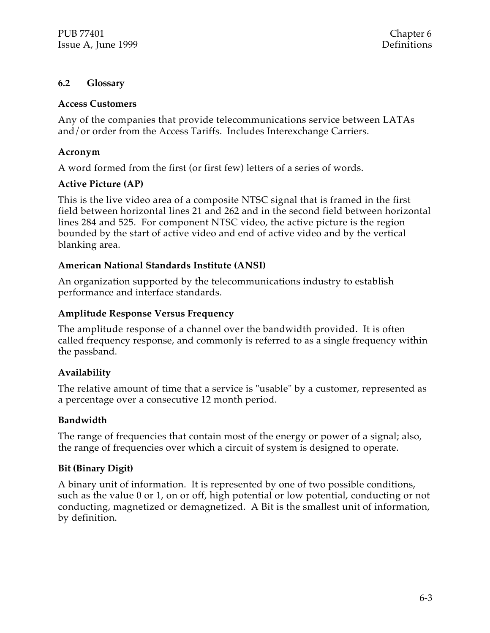#### **6.2 Glossary**

#### **Access Customers**

Any of the companies that provide telecommunications service between LATAs and/or order from the Access Tariffs. Includes Interexchange Carriers.

#### **Acronym**

A word formed from the first (or first few) letters of a series of words.

#### **Active Picture (AP)**

This is the live video area of a composite NTSC signal that is framed in the first field between horizontal lines 21 and 262 and in the second field between horizontal lines 284 and 525. For component NTSC video, the active picture is the region bounded by the start of active video and end of active video and by the vertical blanking area.

#### **American National Standards Institute (ANSI)**

An organization supported by the telecommunications industry to establish performance and interface standards.

#### **Amplitude Response Versus Frequency**

The amplitude response of a channel over the bandwidth provided. It is often called frequency response, and commonly is referred to as a single frequency within the passband.

#### **Availability**

The relative amount of time that a service is "usable" by a customer, represented as a percentage over a consecutive 12 month period.

#### **Bandwidth**

The range of frequencies that contain most of the energy or power of a signal; also, the range of frequencies over which a circuit of system is designed to operate.

#### **Bit (Binary Digit)**

A binary unit of information. It is represented by one of two possible conditions, such as the value 0 or 1, on or off, high potential or low potential, conducting or not conducting, magnetized or demagnetized. A Bit is the smallest unit of information, by definition.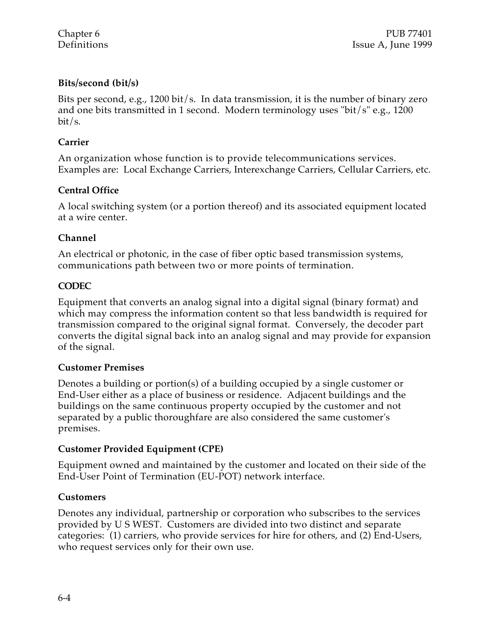#### **Bits/second (bit/s)**

Bits per second, e.g., 1200 bit/s. In data transmission, it is the number of binary zero and one bits transmitted in 1 second. Modern terminology uses "bit/s" e.g., 1200 bit/s.

#### **Carrier**

An organization whose function is to provide telecommunications services. Examples are: Local Exchange Carriers, Interexchange Carriers, Cellular Carriers, etc.

#### **Central Office**

A local switching system (or a portion thereof) and its associated equipment located at a wire center.

#### **Channel**

An electrical or photonic, in the case of fiber optic based transmission systems, communications path between two or more points of termination.

#### **CODEC**

Equipment that converts an analog signal into a digital signal (binary format) and which may compress the information content so that less bandwidth is required for transmission compared to the original signal format. Conversely, the decoder part converts the digital signal back into an analog signal and may provide for expansion of the signal.

#### **Customer Premises**

Denotes a building or portion(s) of a building occupied by a single customer or End-User either as a place of business or residence. Adjacent buildings and the buildings on the same continuous property occupied by the customer and not separated by a public thoroughfare are also considered the same customer's premises.

#### **Customer Provided Equipment (CPE)**

Equipment owned and maintained by the customer and located on their side of the End-User Point of Termination (EU-POT) network interface.

#### **Customers**

Denotes any individual, partnership or corporation who subscribes to the services provided by U S WEST. Customers are divided into two distinct and separate categories: (1) carriers, who provide services for hire for others, and (2) End-Users, who request services only for their own use.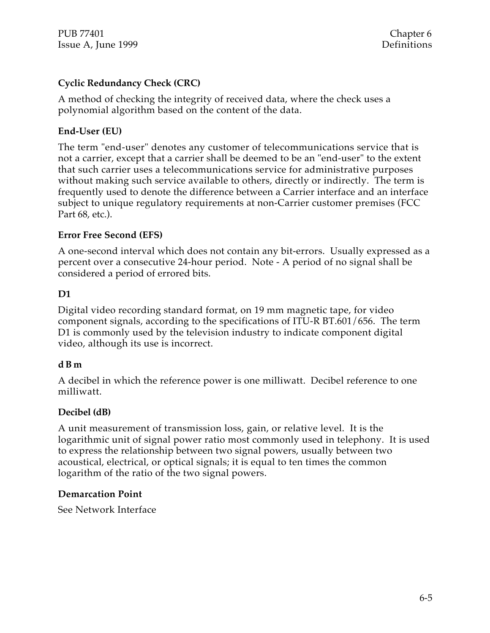PUB 77401 Chapter 6 Issue A, June 1999 Definitions

#### **Cyclic Redundancy Check (CRC)**

A method of checking the integrity of received data, where the check uses a polynomial algorithm based on the content of the data.

#### **End-User (EU)**

The term "end-user" denotes any customer of telecommunications service that is not a carrier, except that a carrier shall be deemed to be an "end-user" to the extent that such carrier uses a telecommunications service for administrative purposes without making such service available to others, directly or indirectly. The term is frequently used to denote the difference between a Carrier interface and an interface subject to unique regulatory requirements at non-Carrier customer premises (FCC Part 68, etc.).

#### **Error Free Second (EFS)**

A one-second interval which does not contain any bit-errors. Usually expressed as a percent over a consecutive 24-hour period. Note - A period of no signal shall be considered a period of errored bits.

#### **D1**

Digital video recording standard format, on 19 mm magnetic tape, for video component signals, according to the specifications of ITU-R BT.601/656. The term D1 is commonly used by the television industry to indicate component digital video, although its use is incorrect.

#### **d B m**

A decibel in which the reference power is one milliwatt. Decibel reference to one milliwatt.

#### **Decibel (dB)**

A unit measurement of transmission loss, gain, or relative level. It is the logarithmic unit of signal power ratio most commonly used in telephony. It is used to express the relationship between two signal powers, usually between two acoustical, electrical, or optical signals; it is equal to ten times the common logarithm of the ratio of the two signal powers.

#### **Demarcation Point**

See Network Interface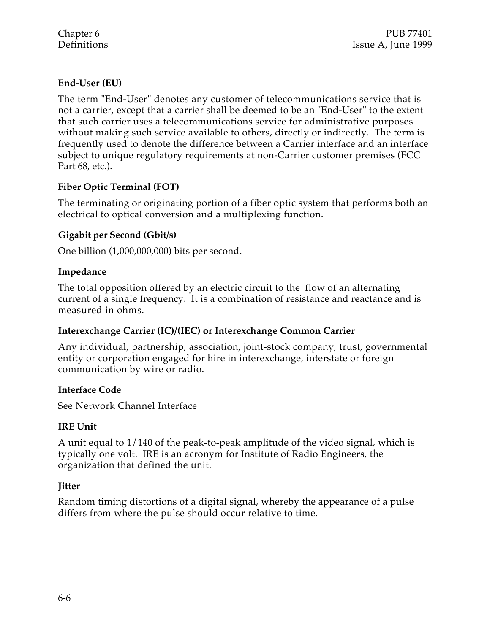#### **End-User (EU)**

The term "End-User" denotes any customer of telecommunications service that is not a carrier, except that a carrier shall be deemed to be an "End-User" to the extent that such carrier uses a telecommunications service for administrative purposes without making such service available to others, directly or indirectly. The term is frequently used to denote the difference between a Carrier interface and an interface subject to unique regulatory requirements at non-Carrier customer premises (FCC Part 68, etc.).

#### **Fiber Optic Terminal (FOT)**

The terminating or originating portion of a fiber optic system that performs both an electrical to optical conversion and a multiplexing function.

#### **Gigabit per Second (Gbit/s)**

One billion (1,000,000,000) bits per second.

#### **Impedance**

The total opposition offered by an electric circuit to the flow of an alternating current of a single frequency. It is a combination of resistance and reactance and is measured in ohms.

#### **Interexchange Carrier (IC)/(IEC) or Interexchange Common Carrier**

Any individual, partnership, association, joint-stock company, trust, governmental entity or corporation engaged for hire in interexchange, interstate or foreign communication by wire or radio.

#### **Interface Code**

See Network Channel Interface

#### **IRE Unit**

A unit equal to 1/140 of the peak-to-peak amplitude of the video signal, which is typically one volt. IRE is an acronym for Institute of Radio Engineers, the organization that defined the unit.

#### **Jitter**

Random timing distortions of a digital signal, whereby the appearance of a pulse differs from where the pulse should occur relative to time.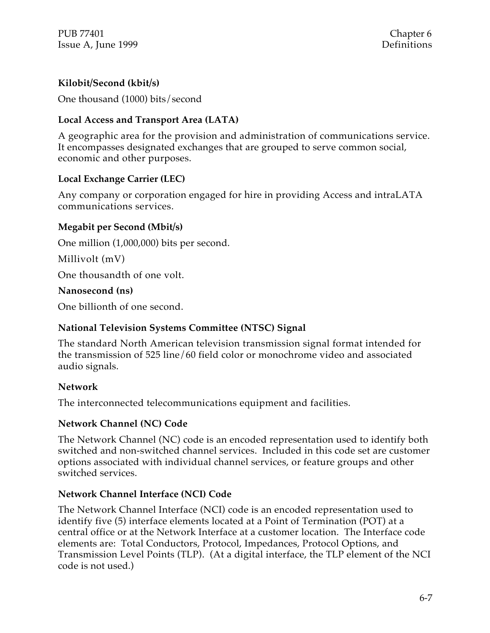#### **Kilobit/Second (kbit/s)**

One thousand (1000) bits/second

#### **Local Access and Transport Area (LATA)**

A geographic area for the provision and administration of communications service. It encompasses designated exchanges that are grouped to serve common social, economic and other purposes.

#### **Local Exchange Carrier (LEC)**

Any company or corporation engaged for hire in providing Access and intraLATA communications services.

#### **Megabit per Second (Mbit/s)**

One million (1,000,000) bits per second.

Millivolt (mV)

One thousandth of one volt.

#### **Nanosecond (ns)**

One billionth of one second.

#### **National Television Systems Committee (NTSC) Signal**

The standard North American television transmission signal format intended for the transmission of 525 line/60 field color or monochrome video and associated audio signals.

#### **Network**

The interconnected telecommunications equipment and facilities.

#### **Network Channel (NC) Code**

The Network Channel (NC) code is an encoded representation used to identify both switched and non-switched channel services. Included in this code set are customer options associated with individual channel services, or feature groups and other switched services.

#### **Network Channel Interface (NCI) Code**

The Network Channel Interface (NCI) code is an encoded representation used to identify five (5) interface elements located at a Point of Termination (POT) at a central office or at the Network Interface at a customer location. The Interface code elements are: Total Conductors, Protocol, Impedances, Protocol Options, and Transmission Level Points (TLP). (At a digital interface, the TLP element of the NCI code is not used.)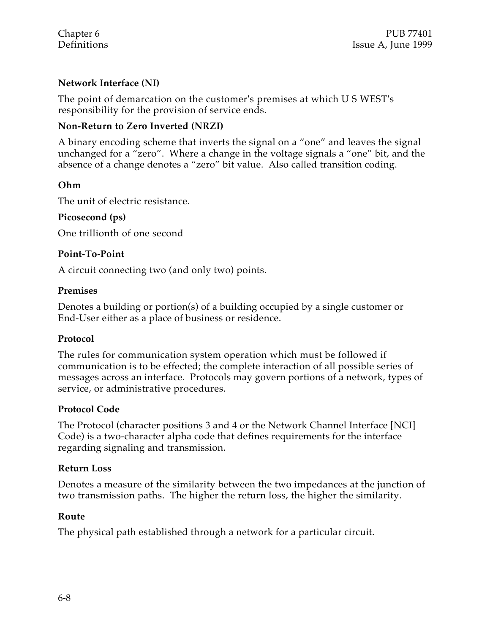#### **Network Interface (NI)**

The point of demarcation on the customer's premises at which U S WEST's responsibility for the provision of service ends.

#### **Non-Return to Zero Inverted (NRZI)**

A binary encoding scheme that inverts the signal on a "one" and leaves the signal unchanged for a "zero". Where a change in the voltage signals a "one" bit, and the absence of a change denotes a "zero" bit value. Also called transition coding.

#### **Ohm**

The unit of electric resistance.

#### **Picosecond (ps)**

One trillionth of one second

#### **Point-To-Point**

A circuit connecting two (and only two) points.

#### **Premises**

Denotes a building or portion(s) of a building occupied by a single customer or End-User either as a place of business or residence.

#### **Protocol**

The rules for communication system operation which must be followed if communication is to be effected; the complete interaction of all possible series of messages across an interface. Protocols may govern portions of a network, types of service, or administrative procedures.

#### **Protocol Code**

The Protocol (character positions 3 and 4 or the Network Channel Interface [NCI] Code) is a two-character alpha code that defines requirements for the interface regarding signaling and transmission.

#### **Return Loss**

Denotes a measure of the similarity between the two impedances at the junction of two transmission paths. The higher the return loss, the higher the similarity.

#### **Route**

The physical path established through a network for a particular circuit.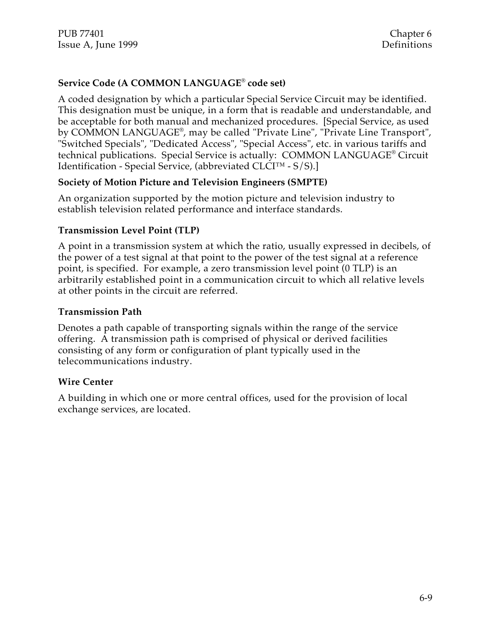#### **Service Code (A COMMON LANGUAGE® code set)**

A coded designation by which a particular Special Service Circuit may be identified. This designation must be unique, in a form that is readable and understandable, and be acceptable for both manual and mechanized procedures. [Special Service, as used by COMMON LANGUAGE® , may be called "Private Line", "Private Line Transport", "Switched Specials", "Dedicated Access", "Special Access", etc. in various tariffs and technical publications. Special Service is actually: COMMON LANGUAGE® Circuit Identification - Special Service, (abbreviated CLCI™ - S/S).]

#### **Society of Motion Picture and Television Engineers (SMPTE)**

An organization supported by the motion picture and television industry to establish television related performance and interface standards.

#### **Transmission Level Point (TLP)**

A point in a transmission system at which the ratio, usually expressed in decibels, of the power of a test signal at that point to the power of the test signal at a reference point, is specified. For example, a zero transmission level point (0 TLP) is an arbitrarily established point in a communication circuit to which all relative levels at other points in the circuit are referred.

#### **Transmission Path**

Denotes a path capable of transporting signals within the range of the service offering. A transmission path is comprised of physical or derived facilities consisting of any form or configuration of plant typically used in the telecommunications industry.

#### **Wire Center**

A building in which one or more central offices, used for the provision of local exchange services, are located.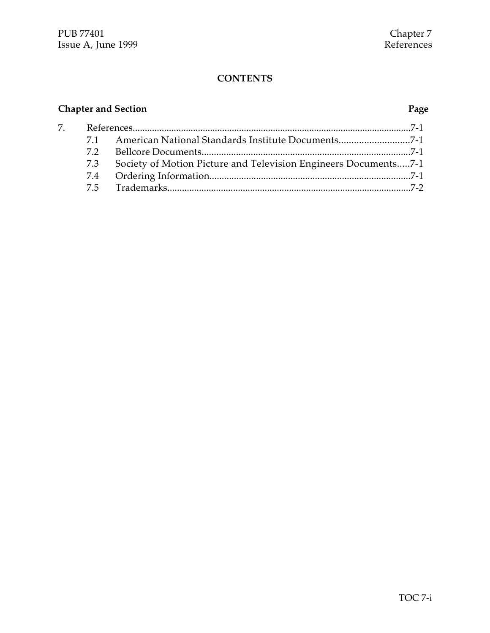# **Chapter and Section Page**

| 7. |     |                                                                 |  |
|----|-----|-----------------------------------------------------------------|--|
|    | 71  | American National Standards Institute Documents7-1              |  |
|    | 72  |                                                                 |  |
|    | 7.3 | Society of Motion Picture and Television Engineers Documents7-1 |  |
|    |     |                                                                 |  |
|    |     |                                                                 |  |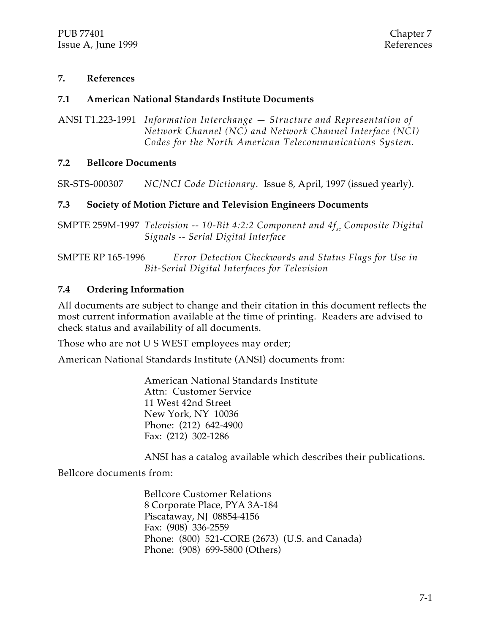#### **7. References**

#### **7.1 American National Standards Institute Documents**

ANSI T1.223-1991 *Information Interchange — Structure and Representation of Network Channel (NC) and Network Channel Interface (NCI) Codes for the North American Telecommunications System.*

#### **7.2 Bellcore Documents**

SR-STS-000307 *NC/NCI Code Dictionary.* Issue 8, April, 1997 (issued yearly).

#### **7.3 Society of Motion Picture and Television Engineers Documents**

SMPTE 259M-1997 *Television -- 10-Bit 4:2:2 Component and 4fsc Composite Digital Signals -- Serial Digital Interface*

SMPTE RP 165-1996 *Error Detection Checkwords and Status Flags for Use in Bit-Serial Digital Interfaces for Television*

#### **7.4 Ordering Information**

All documents are subject to change and their citation in this document reflects the most current information available at the time of printing. Readers are advised to check status and availability of all documents.

Those who are not U S WEST employees may order;

American National Standards Institute (ANSI) documents from:

American National Standards Institute Attn: Customer Service 11 West 42nd Street New York, NY 10036 Phone: (212) 642-4900 Fax: (212) 302-1286

ANSI has a catalog available which describes their publications.

Bellcore documents from:

Bellcore Customer Relations 8 Corporate Place, PYA 3A-184 Piscataway, NJ 08854-4156 Fax: (908) 336-2559 Phone: (800) 521-CORE (2673) (U.S. and Canada) Phone: (908) 699-5800 (Others)